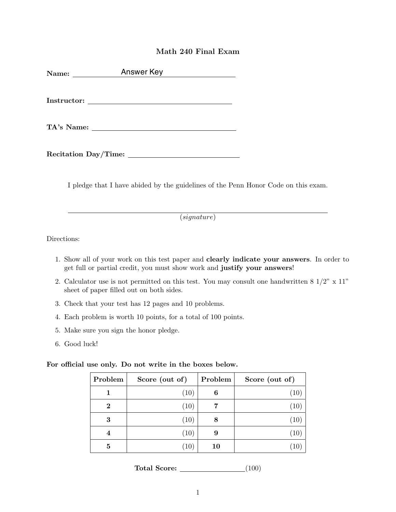## Math 240 Final Exam

| Name: | Answer Key |  |
|-------|------------|--|
|       |            |  |
|       |            |  |
|       |            |  |

I pledge that I have abided by the guidelines of the Penn Honor Code on this exam.

(*signature*)

Directions:

- 1. Show all of your work on this test paper and clearly indicate your answers. In order to get full or partial credit, you must show work and justify your answers!
- 2. Calculator use is not permitted on this test. You may consult one handwritten  $8\frac{1}{2}$ " x  $11$ " sheet of paper filled out on both sides.
- 3. Check that your test has 12 pages and 10 problems.
- 4. Each problem is worth 10 points, for a total of 100 points.
- 5. Make sure you sign the honor pledge.
- 6. Good luck!

For official use only. Do not write in the boxes below.

| Problem  | Score (out of) | Problem | Score (out of) |
|----------|----------------|---------|----------------|
| 1        | (10)           | 6       | (10)           |
| $\bf{2}$ | (10)           |         | (10)           |
| 3        | (10)           | 8       | (10)           |
|          | (10)           | 9       | (10)           |
| 5        | (10)           | 10      | (10)           |

Total Score: (100)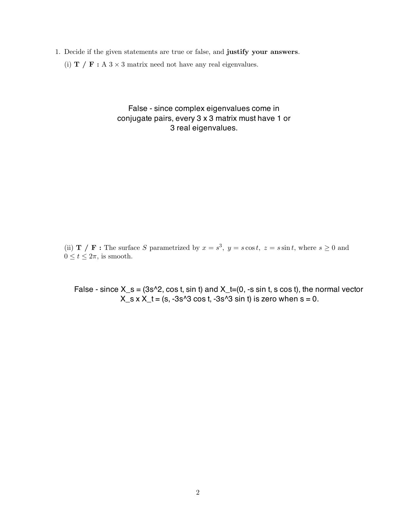- 1. Decide if the given statements are true or false, and justify your answers.
	- (i)  $\mathbf{T}$  /  $\mathbf{F}$  : A 3 × 3 matrix need not have any real eigenvalues.

False - since complex eigenvalues come in conjugate pairs, every 3 x 3 matrix must have 1 or 3 real eigenvalues.

(ii) **T** / **F**: The surface *S* parametrized by  $x = s^3$ ,  $y = s \cos t$ ,  $z = s \sin t$ , where  $s \ge 0$  and  $0 \le t \le 2\pi$ , is smooth.

False - since  $X_s = (3s^2, \cos t, \sin t)$  and  $X_t = (0, -s \sin t, s \cos t)$ , the normal vector  $X_s \times X_t = (s, -3s^3 \cos t, -3s^3 \sin t)$  is zero when s = 0.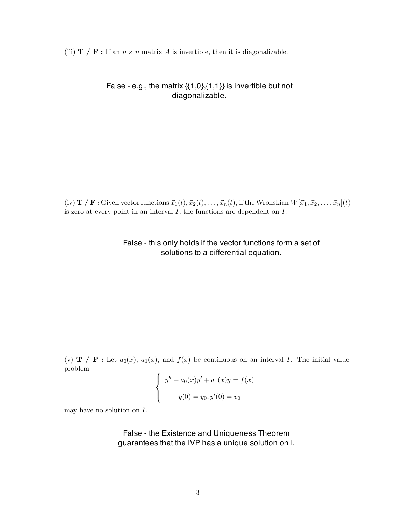(iii)  $\mathbf{T}/\mathbf{F}$ : If an  $n \times n$  matrix *A* is invertible, then it is diagonalizable.

## False - e.g., the matrix  $\{\{1,0\},\{1,1\}\}\$ is invertible but not diagonalizable.

(iv) **T** / **F**: Given vector functions  $\vec{x}_1(t), \vec{x}_2(t), \ldots, \vec{x}_n(t)$ , if the Wronskian  $W[\vec{x}_1, \vec{x}_2, \ldots, \vec{x}_n](t)$ is zero at every point in an interval *I*, the functions are dependent on *I*.

## False - this only holds if the vector functions form a set of solutions to a differential equation.

(v) **T** / **F**: Let  $a_0(x)$ ,  $a_1(x)$ , and  $f(x)$  be continuous on an interval *I*. The initial value problem

$$
\begin{cases}\ny'' + a_0(x)y' + a_1(x)y = f(x) \\
y(0) = y_0, y'(0) = v_0\n\end{cases}
$$

may have no solution on *I*.

False - the Existence and Uniqueness Theorem guarantees that the IVP has a unique solution on I.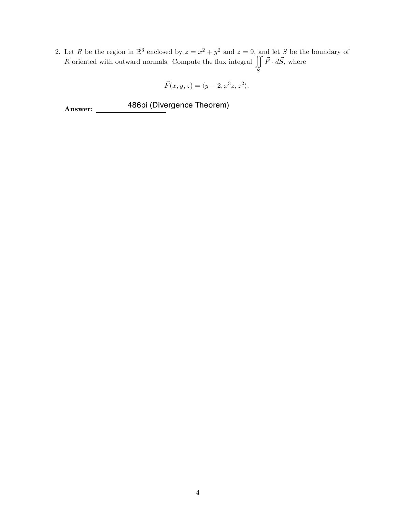2. Let *R* be the region in  $\mathbb{R}^3$  enclosed by  $z = x^2 + y^2$  and  $z = 9$ , and let *S* be the boundary of *R* oriented with outward normals. Compute the flux integral  $\iiint$ *S*  $\vec{F} \cdot d\vec{S}$ , where

$$
\vec{F}(x,y,z) = \langle y-2, x^3z, z^2 \rangle.
$$

Answer: 486pi (Divergence Theorem)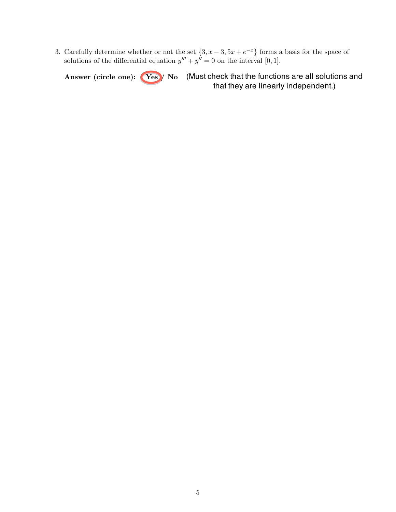3. Carefully determine whether or not the set  $\{3, x - 3, 5x + e^{-x}\}$  forms a basis for the space of solutions of the differential equation  $y''' + y'' = 0$  on the interval [0, 1].

Answer (circle one): Yes / No (Must check that the functions are all solutions and that they are linearly independent.)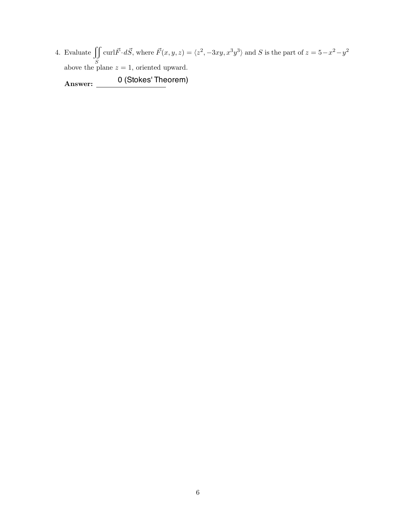4. Evaluate  $\int$ *S* curl $\vec{F} \cdot d\vec{S}$ , where  $\vec{F}(x, y, z) = \langle z^2, -3xy, x^3y^3 \rangle$  and *S* is the part of  $z = 5 - x^2 - y^2$ above the plane  $z = 1$ , oriented upward.

Answer: 0 (Stokes' Theorem)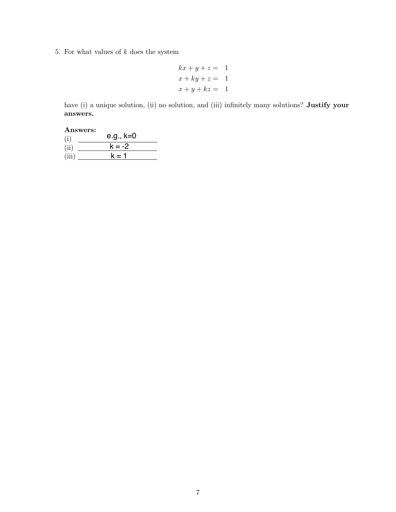5. For what values of *k* does the system

$$
kx + y + z = 1
$$
  

$$
x + ky + z = 1
$$
  

$$
x + y + kz = 1
$$

have (i) a unique solution, (ii) no solution, and (iii) infinitely many solutions? Justify your answers.

| Answers: |
|----------|
|----------|

| (i)   | e.g., k=0 |
|-------|-----------|
| (ii)  | $k = -2$  |
| (iii) | $k = 1$   |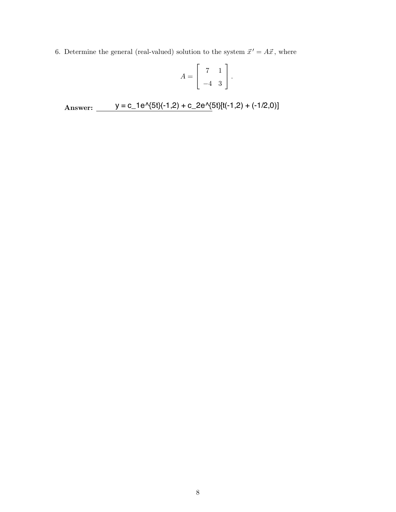6. Determine the general (real-valued) solution to the system  $\vec{x}' = A\vec{x}$ , where

$$
A = \left[ \begin{array}{rr} 7 & 1 \\ -4 & 3 \end{array} \right].
$$

Answer: y = c\_1e^{5t}(-1,2) + c\_2e^{5t}[t(-1,2) + (-1/2,0)]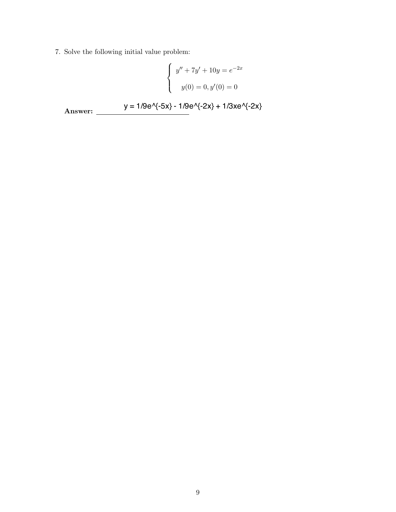7. Solve the following initial value problem:

$$
\begin{cases}\ny'' + 7y' + 10y = e^{-2x} \\
y(0) = 0, y'(0) = 0\n\end{cases}
$$
\nAnswer:  $y = 1/9e^{-5x} - 1/9e^{-2x} + 1/3xe^{-2x}$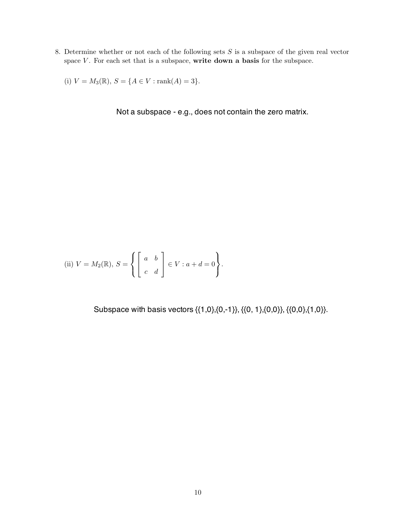8. Determine whether or not each of the following sets *S* is a subspace of the given real vector space  $V$ . For each set that is a subspace, write down a basis for the subspace.

(i)  $V = M_3(\mathbb{R}), S = \{A \in V : \text{rank}(A) = 3\}.$ 

Not a subspace - e.g., does not contain the zero matrix.

(ii) 
$$
V = M_2(\mathbb{R}), S = \left\{ \begin{bmatrix} a & b \\ c & d \end{bmatrix} \in V : a + d = 0 \right\}.
$$

Subspace with basis vectors {{1,0},{0,-1}}, {{0, 1},{0,0}}, {{0,0},{1,0}}.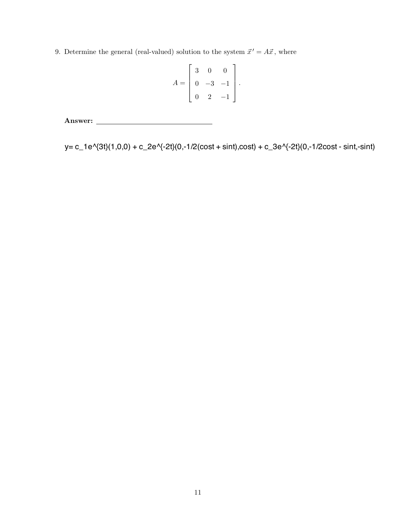9. Determine the general (real-valued) solution to the system  $\vec{x}' = A\vec{x}$ , where

$$
A = \begin{bmatrix} 3 & 0 & 0 \\ 0 & -3 & -1 \\ 0 & 2 & -1 \end{bmatrix}.
$$

Answer:

 $11$ <br>  $11$